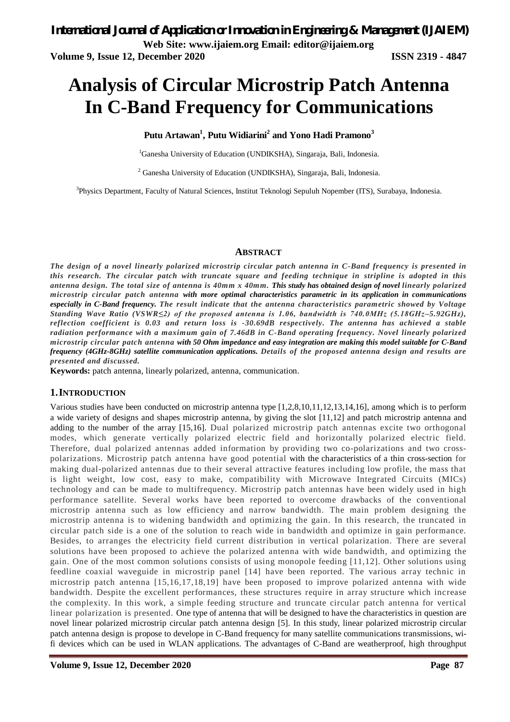# **Analysis of Circular Microstrip Patch Antenna In C-Band Frequency for Communications**

**Putu Artawan<sup>1</sup> , Putu Widiarini<sup>2</sup> and Yono Hadi Pramono<sup>3</sup>**

<sup>1</sup>Ganesha University of Education (UNDIKSHA), Singaraja, Bali, Indonesia.

<sup>2</sup> Ganesha University of Education (UNDIKSHA), Singaraja, Bali, Indonesia.

<sup>3</sup>Physics Department, Faculty of Natural Sciences, Institut Teknologi Sepuluh Nopember (ITS), Surabaya, Indonesia.

#### **ABSTRACT**

*The design of a novel linearly polarized microstrip circular patch antenna in C-Band frequency is presented in this research. The circular patch with truncate square and feeding technique in stripline is adopted in this antenna design. The total size of antenna is 40mm x 40mm. This study has obtained design of novel linearly polarized microstrip circular patch antenna with more optimal characteristics parametric in its application in communications especially in C-Band frequency. The result indicate that the antenna characteristics parametric showed by Voltage Standing Wave Ratio (VSWR≤2) of the proposed antenna is 1.06, bandwidth is 740.0MHz (5.18GHz–5.92GHz), reflection coefficient is 0.03 and return loss is -30.69dB respectively. The antenna has achieved a stable radiation performance with a maximum gain of 7.46dB in C-Band operating frequency. Novel linearly polarized microstrip circular patch antenna with 50 Ohm impedance and easy integration are making this model suitable for C-Band frequency (4GHz-8GHz) satellite communication applications. Details of the proposed antenna design and results are presented and discussed.*

**Keywords:** patch antenna, linearly polarized, antenna, communication.

#### **1.INTRODUCTION**

Various studies have been conducted on microstrip antenna type [1,2,8,10,11,12,13,14,16], among which is to perform a wide variety of designs and shapes microstrip antenna, by giving the slot [11,12] and patch microstrip antenna and adding to the number of the array [15,16]. Dual polarized microstrip patch antennas excite two orthogonal modes, which generate vertically polarized electric field and horizontally polarized electric field. Therefore, dual polarized antennas added information by providing two co-polarizations and two crosspolarizations. Microstrip patch antenna have good potential with the characteristics of a thin cross-section for making dual-polarized antennas due to their several attractive features including low profile, the mass that is light weight, low cost, easy to make, compatibility with Microwave Integrated Circuits (MICs) technology and can be made to multifrequency. Microstrip patch antennas have been widely used in high performance satellite. Several works have been reported to overcome drawbacks of the conventional microstrip antenna such as low efficiency and narrow bandwidth. The main problem designing the microstrip antenna is to widening bandwidth and optimizing the gain. In this research, the truncated in circular patch side is a one of the solution to reach wide in bandwidth and optimize in gain performance. Besides, to arranges the electricity field current distribution in vertical polarization. There are several solutions have been proposed to achieve the polarized antenna with wide bandwidth, and optimizing the gain. One of the most common solutions consists of using monopole feeding [11,12]. Other solutions using feedline coaxial waveguide in microstrip panel [14] have been reported. The various array technic in microstrip patch antenna [15,16,17,18,19] have been proposed to improve polarized antenna with wide bandwidth. Despite the excellent performances, these structures require in array structure which increase the complexity. In this work, a simple feeding structure and truncate circular patch antenna for vertical linear polarization is presented. One type of antenna that will be designed to have the characteristics in question are novel linear polarized microstrip circular patch antenna design [5]. In this study, linear polarized microstrip circular patch antenna design is propose to develope in C-Band frequency for many satellite communications transmissions, wifi devices which can be used in WLAN applications. The advantages of C-Band are weatherproof, high throughput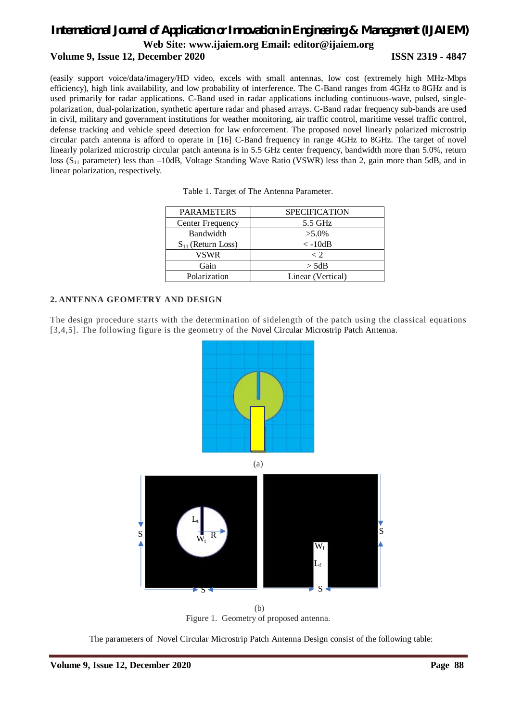### **Volume 9, Issue 12, December 2020 ISSN 2319 - 4847**

(easily support voice/data/imagery/HD video, excels with small antennas, low cost (extremely high MHz-Mbps efficiency), high link availability, and low probability of interference. The C-Band ranges from 4GHz to 8GHz and is used primarily for radar applications. C-Band used in radar applications including continuous-wave, pulsed, singlepolarization, dual-polarization, synthetic aperture radar and phased arrays. C-Band radar frequency sub-bands are used in civil, military and government institutions for weather monitoring, air traffic control, maritime vessel traffic control, defense tracking and vehicle speed detection for law enforcement. The proposed novel linearly polarized microstrip circular patch antenna is afford to operate in [16] C-Band frequency in range 4GHz to 8GHz. The target of novel linearly polarized microstrip circular patch antenna is in 5.5 GHz center frequency, bandwidth more than 5.0%, return loss (S<sub>11</sub> parameter) less than –10dB, Voltage Standing Wave Ratio (VSWR) less than 2, gain more than 5dB, and in linear polarization, respectively.

| <b>PARAMETERS</b>      | <b>SPECIFICATION</b> |  |  |
|------------------------|----------------------|--|--|
| Center Frequency       | 5.5 GHz              |  |  |
| Bandwidth              | $>5.0\%$             |  |  |
| $S_{11}$ (Return Loss) | $\langle -10dB$      |  |  |
| VSWR                   | $\langle$ 2          |  |  |
| Gain                   | $>$ 5dB              |  |  |
| Polarization           | Linear (Vertical)    |  |  |

#### **2. ANTENNA GEOMETRY AND DESIGN**

The design procedure starts with the determination of sidelength of the patch using the classical equations [3,4,5]. The following figure is the geometry of the Novel Circular Microstrip Patch Antenna.



(b) Figure 1. Geometry of proposed antenna.

The parameters of Novel Circular Microstrip Patch Antenna Design consist of the following table: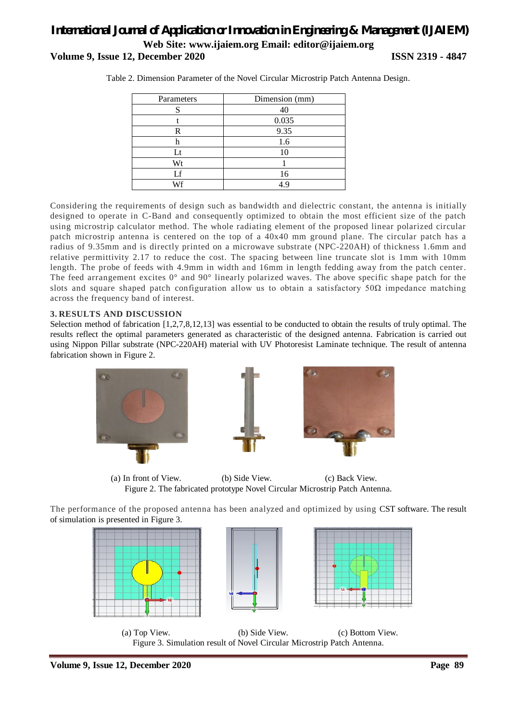### *International Journal of Application or Innovation in Engineering & Management (IJAIEM)* **Web Site: www.ijaiem.org Email: editor@ijaiem.org Volume 9, Issue 12, December 2020 ISSN 2319 - 4847**

| Parameters | Dimension (mm)    |  |  |  |
|------------|-------------------|--|--|--|
|            | 4በ                |  |  |  |
|            | 0.035             |  |  |  |
| R          | 9.35<br>1.6<br>10 |  |  |  |
|            |                   |  |  |  |
| Lt         |                   |  |  |  |
| Wt         |                   |  |  |  |
| Lf         | 16                |  |  |  |
| Wf         | 4.9               |  |  |  |

Table 2. Dimension Parameter of the Novel Circular Microstrip Patch Antenna Design.

Considering the requirements of design such as bandwidth and dielectric constant, the antenna is initially designed to operate in C-Band and consequently optimized to obtain the most efficient size of the patch using microstrip calculator method. The whole radiating element of the proposed linear polarized circular patch microstrip antenna is centered on the top of a 40x40 mm ground plane. The circular patch has a radius of 9.35mm and is directly printed on a microwave substrate (NPC-220AH) of thickness 1.6mm and relative permittivity 2.17 to reduce the cost. The spacing between line truncate slot is 1mm with 10mm length. The probe of feeds with 4.9mm in width and 16mm in length fedding away from the patch center. The feed arrangement excites 0° and 90° linearly polarized waves. The above specific shape patch for the slots and square shaped patch configuration allow us to obtain a satisfactory  $50\Omega$  impedance matching across the frequency band of interest.

### **3. RESULTS AND DISCUSSION**

Selection method of fabrication [1,2,7,8,12,13] was essential to be conducted to obtain the results of truly optimal. The results reflect the optimal parameters generated as characteristic of the designed antenna. Fabrication is carried out using Nippon Pillar substrate (NPC-220AH) material with UV Photoresist Laminate technique. The result of antenna fabrication shown in Figure 2.



(a) In front of View. (b) Side View. (c) Back View. Figure 2. The fabricated prototype Novel Circular Microstrip Patch Antenna.

The performance of the proposed antenna has been analyzed and optimized by using CST software. The result of simulation is presented in Figure 3.



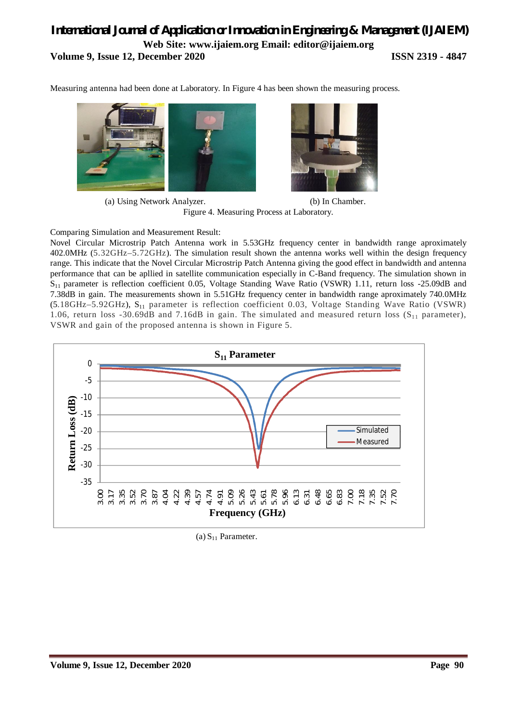### *International Journal of Application or Innovation in Engineering & Management (IJAIEM)* **Web Site: www.ijaiem.org Email: editor@ijaiem.org Volume 9, Issue 12, December 2020 ISSN 2319 - 4847**

Measuring antenna had been done at Laboratory. In Figure 4 has been shown the measuring process.





(a) Using Network Analyzer. (b) In Chamber. Figure 4. Measuring Process at Laboratory.

Comparing Simulation and Measurement Result:

Novel Circular Microstrip Patch Antenna work in 5.53GHz frequency center in bandwidth range aproximately 402.0MHz (5.32GHz–5.72GHz). The simulation result shown the antenna works well within the design frequency range. This indicate that the Novel Circular Microstrip Patch Antenna giving the good effect in bandwidth and antenna performance that can be apllied in satellite communication especially in C-Band frequency. The simulation shown in  $S_{11}$  parameter is reflection coefficient 0.05, Voltage Standing Wave Ratio (VSWR) 1.11, return loss -25.09dB and 7.38dB in gain. The measurements shown in 5.51GHz frequency center in bandwidth range aproximately 740.0MHz (5.18GHz-5.92GHz), S<sub>11</sub> parameter is reflection coefficient 0.03, Voltage Standing Wave Ratio (VSWR) 1.06, return loss -30.69dB and 7.16dB in gain. The simulated and measured return loss  $(S<sub>11</sub>$  parameter), VSWR and gain of the proposed antenna is shown in Figure 5.



(a)  $S_{11}$  Parameter.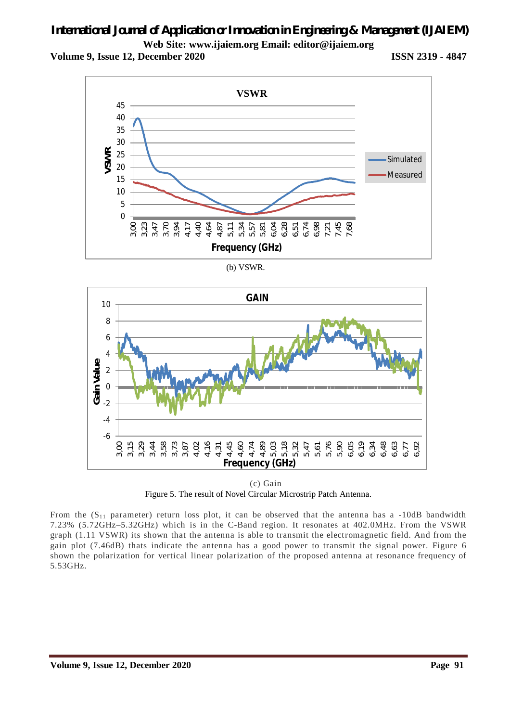**Volume 9, Issue 12, December 2020 ISSN 2319 - 4847**



(b) VSWR.



(c) Gain Figure 5. The result of Novel Circular Microstrip Patch Antenna.

From the  $(S_{11}$  parameter) return loss plot, it can be observed that the antenna has a -10dB bandwidth 7.23% (5.72GHz–5.32GHz) which is in the C-Band region. It resonates at 402.0MHz. From the VSWR graph (1.11 VSWR) its shown that the antenna is able to transmit the electromagnetic field. And from the gain plot (7.46dB) thats indicate the antenna has a good power to transmit the signal power. Figure 6 shown the polarization for vertical linear polarization of the proposed antenna at resonance frequency of 5.53GHz.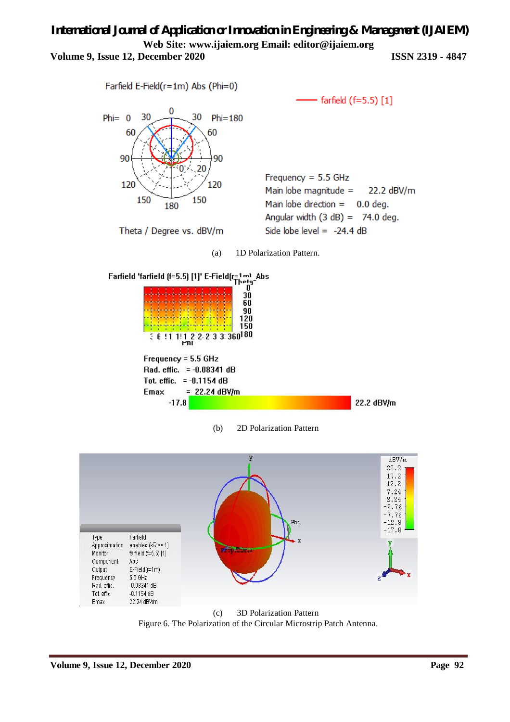### *International Journal of Application or Innovation in Engineering & Management (IJAIEM)* **Web Site: www.ijaiem.org Email: editor@ijaiem.org Volume 9, Issue 12, December 2020 ISSN 2319 - 4847**





Theta / Degree vs. dBV/m

farfield  $(f=5.5)$  [1]

Frequency =  $5.5$  GHz Main lobe magnitude  $=$ 22.2 dBV/m Main lobe direction  $=$  $0.0$  deg. Angular width  $(3 dB) = 74.0 deg.$ Side lobe level =  $-24.4$  dB



Farfield 'farfield [f=5.5] [1]' E-Field[r=1ml Abs<br>  $\begin{array}{ccc}\n & \text{[b]}\n & \text{[c]}\n & \text{[d]}\n & \text{[e]} \\
& \text{[f]}\n & \text{[g]}\n\end{array}$ 







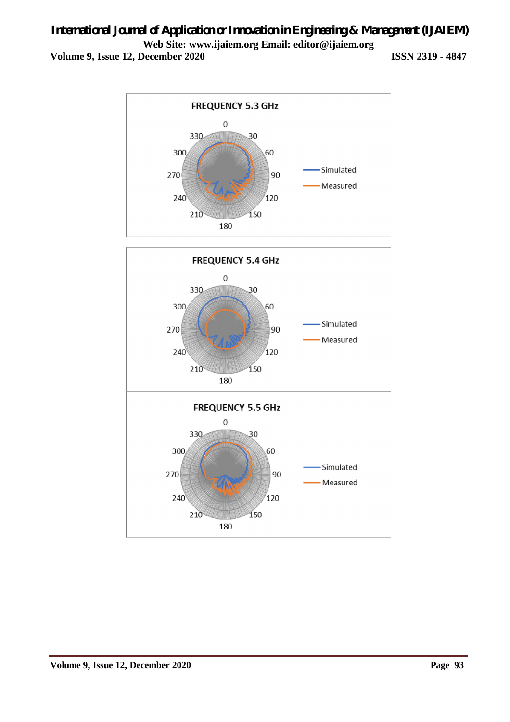**Volume 9, Issue 12, December 2020 ISSN 2319 - 4847**

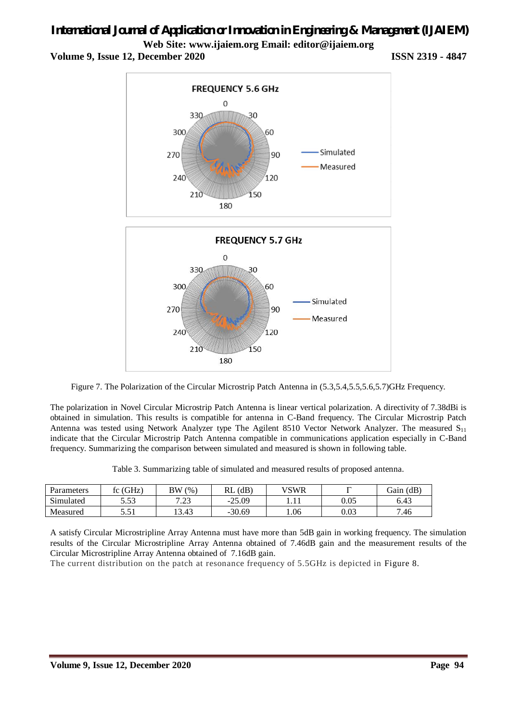## *International Journal of Application or Innovation in Engineering & Management (IJAIEM)*

**Web Site: www.ijaiem.org Email: editor@ijaiem.org**

**Volume 9, Issue 12, December 2020 ISSN 2319 - 4847**



Figure 7. The Polarization of the Circular Microstrip Patch Antenna in (5.3,5.4,5.5,5.6,5.7)GHz Frequency.

The polarization in Novel Circular Microstrip Patch Antenna is linear vertical polarization. A directivity of 7.38dBi is obtained in simulation. This results is compatible for antenna in C-Band frequency. The Circular Microstrip Patch Antenna was tested using Network Analyzer type The Agilent 8510 Vector Network Analyzer. The measured  $S_{11}$ indicate that the Circular Microstrip Patch Antenna compatible in communications application especially in C-Band frequency. Summarizing the comparison between simulated and measured is shown in following table.

Table 3. Summarizing table of simulated and measured results of proposed antenna.

| Parameters                  | 'GHz,<br>tΩ<br>$\sim$ | ВW<br>(% )  | (dB)<br>RL | VSWR |      | (dB)<br>$\sim$<br><br>Jain |
|-----------------------------|-----------------------|-------------|------------|------|------|----------------------------|
| $\mathbf{a}$ .<br>Simulated | 52<br>ر ر.ر           | 7.22<br>ر _ | $-25.09$   | .    | 0.05 | 6.43                       |
| Measured                    | ، س                   | 13.43       | $-30.69$   | 0.06 | 0.03 | 7.46                       |

A satisfy Circular Microstripline Array Antenna must have more than 5dB gain in working frequency. The simulation results of the Circular Microstripline Array Antenna obtained of 7.46dB gain and the measurement results of the Circular Microstripline Array Antenna obtained of 7.16dB gain.

The current distribution on the patch at resonance frequency of 5.5GHz is depicted in Figure 8.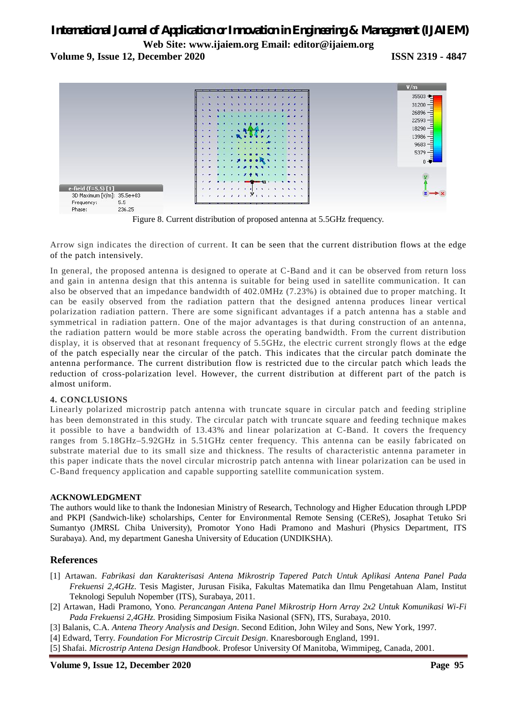### *International Journal of Application or Innovation in Engineering & Management (IJAIEM)*

**Web Site: www.ijaiem.org Email: editor@ijaiem.org**

**Volume 9, Issue 12, December 2020 ISSN 2319 - 4847**



Figure 8. Current distribution of proposed antenna at 5.5GHz frequency.

Arrow sign indicates the direction of current. It can be seen that the current distribution flows at the edge of the patch intensively.

In general, the proposed antenna is designed to operate at C-Band and it can be observed from return loss and gain in antenna design that this antenna is suitable for being used in satellite communication. It can also be observed that an impedance bandwidth of 402.0MHz (7.23%) is obtained due to proper matching. It can be easily observed from the radiation pattern that the designed antenna produces linear vertical polarization radiation pattern. There are some significant advantages if a patch antenna has a stable and symmetrical in radiation pattern. One of the major advantages is that during construction of an antenna, the radiation pattern would be more stable across the operating bandwidth. From the current distribution display, it is observed that at resonant frequency of 5.5GHz, the electric current strongly flows at the edge of the patch especially near the circular of the patch. This indicates that the circular patch dominate the antenna performance. The current distribution flow is restricted due to the circular patch which leads the reduction of cross-polarization level. However, the current distribution at different part of the patch is almost uniform.

#### **4. CONCLUSIONS**

Linearly polarized microstrip patch antenna with truncate square in circular patch and feeding stripline has been demonstrated in this study. The circular patch with truncate square and feeding technique makes it possible to have a bandwidth of 13.43% and linear polarization at C-Band. It covers the frequency ranges from 5.18GHz–5.92GHz in 5.51GHz center frequency. This antenna can be easily fabricated on substrate material due to its small size and thickness. The results of characteristic antenna parameter in this paper indicate thats the novel circular microstrip patch antenna with linear polarization can be used in C-Band frequency application and capable supporting satellite communication system.

#### **ACKNOWLEDGMENT**

The authors would like to thank the Indonesian Ministry of Research, Technology and Higher Education through LPDP and PKPI (Sandwich-like) scholarships, Center for Environmental Remote Sensing (CEReS), Josaphat Tetuko Sri Sumantyo (JMRSL Chiba University), Promotor Yono Hadi Pramono and Mashuri (Physics Department, ITS Surabaya). And, my department Ganesha University of Education (UNDIKSHA).

### **References**

- [1] Artawan. *Fabrikasi dan Karakterisasi Antena Mikrostrip Tapered Patch Untuk Aplikasi Antena Panel Pada Frekuensi 2,4GHz*. Tesis Magister, Jurusan Fisika, Fakultas Matematika dan Ilmu Pengetahuan Alam, Institut Teknologi Sepuluh Nopember (ITS), Surabaya, 2011.
- [2] Artawan, Hadi Pramono, Yono. *Perancangan Antena Panel Mikrostrip Horn Array 2x2 Untuk Komunikasi Wi-Fi Pada Frekuensi 2,4GHz.* Prosiding Simposium Fisika Nasional (SFN), ITS, Surabaya, 2010.
- [3] Balanis, C.A. *Antena Theory Analysis and Design*. Second Edition, John Wiley and Sons, New York, 1997.
- [4] Edward, Terry. *Foundation For Microstrip Circuit Design*. Knaresborough England, 1991.
- [5] Shafai. *Microstrip Antena Design Handbook*. Profesor University Of Manitoba, Wimmipeg, Canada, 2001.